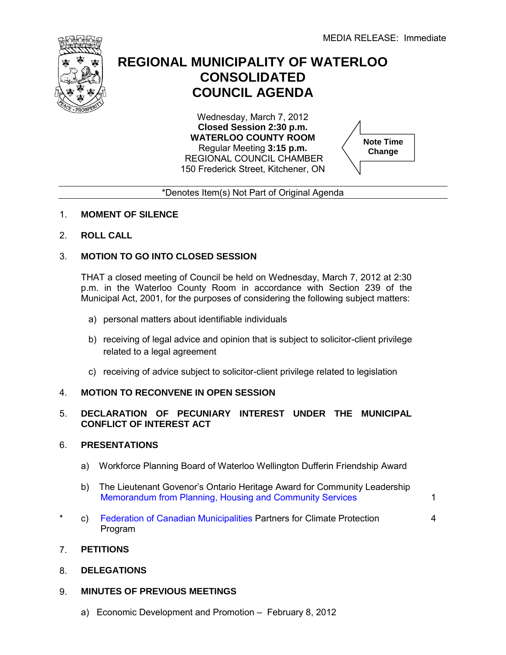

## **REGIONAL MUNICIPALITY OF WATERLOO CONSOLIDATED COUNCIL AGENDA**

Wednesday, March 7, 2012 **Closed Session 2:30 p.m. WATERLOO COUNTY ROOM** Regular Meeting **3:15 p.m.**  REGIONAL COUNCIL CHAMBER 150 Frederick Street, Kitchener, ON



1

4

\*Denotes Item(s) Not Part of Original Agenda

## 1. **MOMENT OF SILENCE**

2. **ROLL CALL**

## 3. **MOTION TO GO INTO CLOSED SESSION**

THAT a closed meeting of Council be held on Wednesday, March 7, 2012 at 2:30 p.m. in the Waterloo County Room in accordance with Section 239 of the Municipal Act, 2001, for the purposes of considering the following subject matters:

- a) personal matters about identifiable individuals
- b) receiving of legal advice and opinion that is subject to solicitor-client privilege related to a legal agreement
- c) receiving of advice subject to solicitor-client privilege related to legislation

## 4. **MOTION TO RECONVENE IN OPEN SESSION**

## 5. **DECLARATION OF PECUNIARY INTEREST UNDER THE MUNICIPAL CONFLICT OF INTEREST ACT**

#### 6. **PRESENTATIONS**

- a) Workforce Planning Board of Waterloo Wellington Dufferin Friendship Award
- b) The Lieutenant Govenor's Ontario Heritage Award for Community Leadership [Memorandum from Planning, Housing and Community Services](#page-4-0)
- \* c) Federation of [Canadian Municipalities Pa](#page-3-0)rtners for Climate Protection Program

## 7. **PETITIONS**

8. **DELEGATIONS**

## 9. **MINUTES OF PREVIOUS MEETINGS**

a) Economic Development and Promotion – February 8, 2012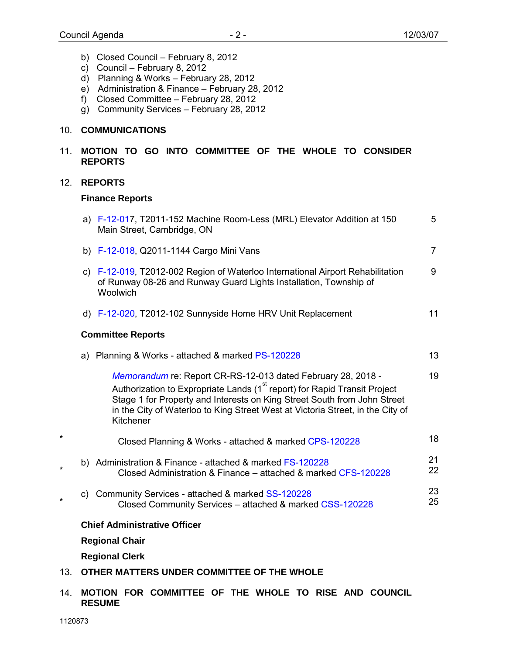- b) Closed Council February 8, 2012
- c) Council February 8, 2012
- d) Planning & Works February 28, 2012
- e) Administration & Finance February 28, 2012
- f) Closed Committee February 28, 2012
- g) Community Services February 28, 2012

## 10. **COMMUNICATIONS**

## 11. **MOTION TO GO INTO COMMITTEE OF THE WHOLE TO CONSIDER REPORTS**

## 12. **REPORTS**

#### **Finance Reports**

| a) F-12-017, T2011-152 Machine Room-Less (MRL) Elevator Addition at 150<br>Main Street, Cambridge, ON                                                                                                                                                                                                                            | 5              |
|----------------------------------------------------------------------------------------------------------------------------------------------------------------------------------------------------------------------------------------------------------------------------------------------------------------------------------|----------------|
| b) F-12-018, Q2011-1144 Cargo Mini Vans                                                                                                                                                                                                                                                                                          | $\overline{7}$ |
| c) F-12-019, T2012-002 Region of Waterloo International Airport Rehabilitation<br>of Runway 08-26 and Runway Guard Lights Installation, Township of<br>Woolwich                                                                                                                                                                  | 9              |
| d) F-12-020, T2012-102 Sunnyside Home HRV Unit Replacement                                                                                                                                                                                                                                                                       | 11             |
| <b>Committee Reports</b>                                                                                                                                                                                                                                                                                                         |                |
| a) Planning & Works - attached & marked PS-120228                                                                                                                                                                                                                                                                                | 13             |
| Memorandum re: Report CR-RS-12-013 dated February 28, 2018 -<br>Authorization to Expropriate Lands (1 <sup>st</sup> report) for Rapid Transit Project<br>Stage 1 for Property and Interests on King Street South from John Street<br>in the City of Waterloo to King Street West at Victoria Street, in the City of<br>Kitchener | 19             |
| Closed Planning & Works - attached & marked CPS-120228                                                                                                                                                                                                                                                                           | 18             |
| b) Administration & Finance - attached & marked FS-120228<br>Closed Administration & Finance – attached & marked CFS-120228                                                                                                                                                                                                      | 21<br>22       |
| c) Community Services - attached & marked SS-120228<br>Closed Community Services - attached & marked CSS-120228                                                                                                                                                                                                                  | 23<br>25       |
| <b>Chief Administrative Officer</b>                                                                                                                                                                                                                                                                                              |                |
| <b>Regional Chair</b>                                                                                                                                                                                                                                                                                                            |                |

**Regional Clerk**

- 13. **OTHER MATTERS UNDER COMMITTEE OF THE WHOLE**
- 14. **MOTION FOR COMMITTEE OF THE WHOLE TO RISE AND COUNCIL RESUME**

\*

\*

\*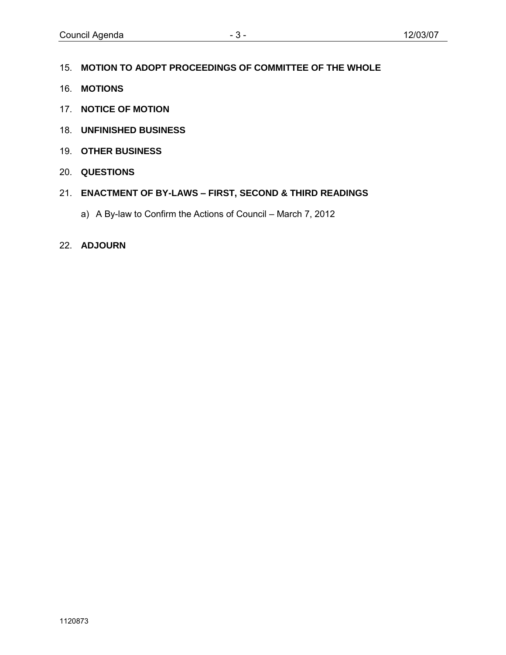- 15. **MOTION TO ADOPT PROCEEDINGS OF COMMITTEE OF THE WHOLE**
- 16. **MOTIONS**
- 17. **NOTICE OF MOTION**
- 18. **UNFINISHED BUSINESS**
- 19. **OTHER BUSINESS**
- 20. **QUESTIONS**
- 21. **ENACTMENT OF BY-LAWS – FIRST, SECOND & THIRD READINGS**
	- a) A By-law to Confirm the Actions of Council March 7, 2012
- 22. **ADJOURN**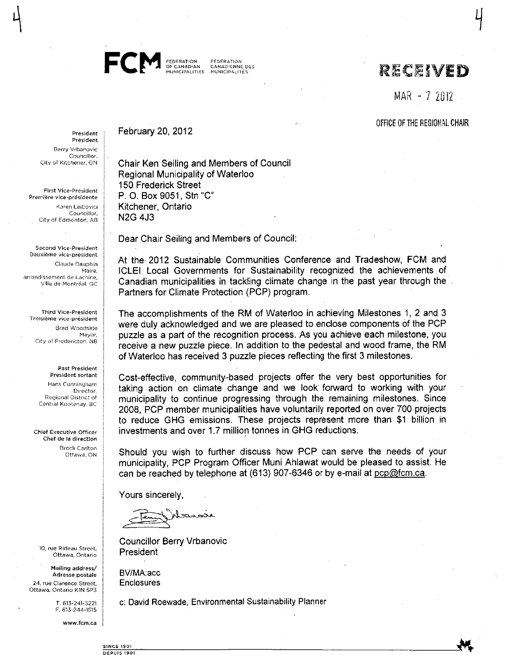

February 20, 2012

FÉDERATION **CANADIENNE DES** MUNICIPALITIES MUNICIPALITÉS

## RECEIVED

MAR - 7 2012

OFFICE OF THE REGIONAL CHAIR

President Président Berry Vrbanovic Councillor. City of Kitchener, ON

**First Vice-President** Première vice-présidente Karen Leibovici Councillor. City of Edmonton, AB

Second Vice-President Deuxième vice-président Claude Dauphin Maire, arrondissement de Lachine, Ville de Montréal, QC

Third Vice-President Troisième vice-président Brad Woodside Mayor. City of Fredericton, NB

> Past President President sortant Hans Cunningham Director. Regional District of Central Kootenav, BC

Chief Executive Officer Chef de la direction **Brock Carlton** Ottawa, ON

10, rue Rideau Street, Ottawa, Ontario

Mailing address/ Adresse postale 24, rue Clarence Street. Ottawa, Ontario KIN 5P3

> T. 613-241-5221 F. 613-244-1515

> > www.fcm.ca

Chair Ken Seiling and Members of Council **Regional Municipality of Waterloo** 150 Frederick Street P. O. Box 9051, Stn "C" Kitchener, Ontario **N2G 4J3** 

Dear Chair Seiling and Members of Council:

At the 2012 Sustainable Communities Conference and Tradeshow, FCM and ICLEI Local Governments for Sustainability recognized the achievements of Canadian municipalities in tackling climate change in the past year through the Partners for Climate Protection (PCP) program.

The accomplishments of the RM of Waterloo in achieving Milestones 1, 2 and 3 were duly acknowledged and we are pleased to enclose components of the PCP puzzle as a part of the recognition process. As you achieve each milestone, you receive a new puzzle piece. In addition to the pedestal and wood frame, the RM of Waterloo has received 3 puzzle pieces reflecting the first 3 milestones.

Cost-effective, community-based projects offer the very best opportunities for taking action on climate change and we look forward to working with your municipality to continue progressing through the remaining milestones. Since 2008, PCP member municipalities have voluntarily reported on over 700 projects to reduce GHG emissions. These projects represent more than \$1 billion in investments and over 1.7 million tonnes in GHG reductions.

Should you wish to further discuss how PCP can serve the needs of your municipality, PCP Program Officer Muni Ahlawat would be pleased to assist. He can be reached by telephone at (613) 907-6346 or by e-mail at pcp@fcm.ca.

Yours sincerely,

Witchcock

**Councillor Berry Vrbanovic** President

BV/MA.acc Enclosures

c: David Roewade, Environmental Sustainability Planner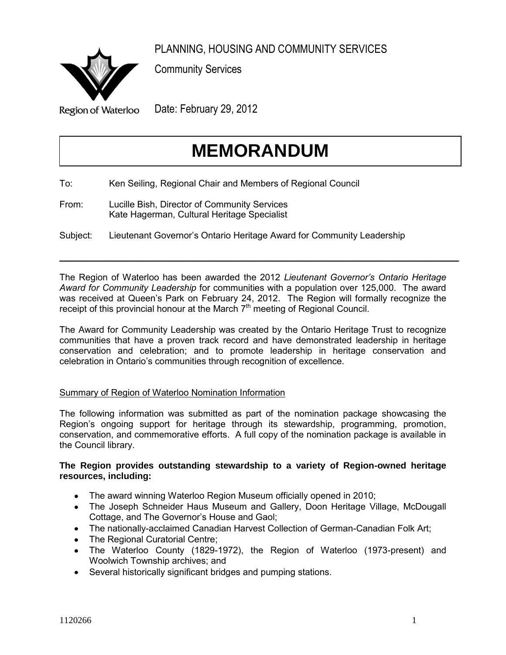<span id="page-4-0"></span>

PLANNING, HOUSING AND COMMUNITY SERVICES

Community Services

**Region of Waterloo** 

Date: February 29, 2012

# **MEMORANDUM**

To: Ken Seiling, Regional Chair and Members of Regional Council

From: Lucille Bish, Director of Community Services Kate Hagerman, Cultural Heritage Specialist

Subject: Lieutenant Governor's Ontario Heritage Award for Community Leadership

The Region of Waterloo has been awarded the 2012 *Lieutenant Governor's Ontario Heritage Award for Community Leadership* for communities with a population over 125,000. The award was received at Queen's Park on February 24, 2012. The Region will formally recognize the receipt of this provincial honour at the March  $7<sup>th</sup>$  meeting of Regional Council.

 $\mathcal{L}_\mathcal{L} = \mathcal{L}_\mathcal{L} = \mathcal{L}_\mathcal{L} = \mathcal{L}_\mathcal{L} = \mathcal{L}_\mathcal{L} = \mathcal{L}_\mathcal{L} = \mathcal{L}_\mathcal{L} = \mathcal{L}_\mathcal{L} = \mathcal{L}_\mathcal{L} = \mathcal{L}_\mathcal{L} = \mathcal{L}_\mathcal{L} = \mathcal{L}_\mathcal{L} = \mathcal{L}_\mathcal{L} = \mathcal{L}_\mathcal{L} = \mathcal{L}_\mathcal{L} = \mathcal{L}_\mathcal{L} = \mathcal{L}_\mathcal{L}$ 

The Award for Community Leadership was created by the Ontario Heritage Trust to recognize communities that have a proven track record and have demonstrated leadership in heritage conservation and celebration; and to promote leadership in heritage conservation and celebration in Ontario's communities through recognition of excellence.

## Summary of Region of Waterloo Nomination Information

The following information was submitted as part of the nomination package showcasing the Region's ongoing support for heritage through its stewardship, programming, promotion, conservation, and commemorative efforts. A full copy of the nomination package is available in the Council library.

## **The Region provides outstanding stewardship to a variety of Region-owned heritage resources, including:**

- The award winning Waterloo Region Museum officially opened in 2010;
- The Joseph Schneider Haus Museum and Gallery, Doon Heritage Village, McDougall Cottage, and The Governor's House and Gaol;
- The nationally-acclaimed Canadian Harvest Collection of German-Canadian Folk Art;
- The Regional Curatorial Centre;
- The Waterloo County (1829-1972), the Region of Waterloo (1973-present) and Woolwich Township archives; and
- Several historically significant bridges and pumping stations.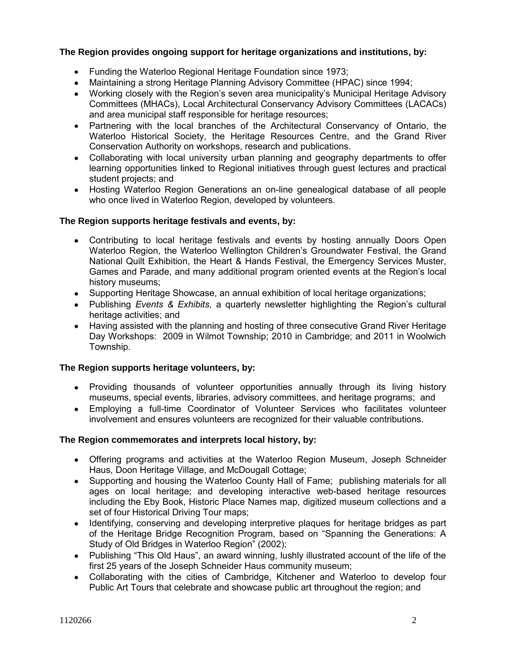## **The Region provides ongoing support for heritage organizations and institutions, by:**

- Funding the Waterloo Regional Heritage Foundation since 1973;
- Maintaining a strong Heritage Planning Advisory Committee (HPAC) since 1994;
- Working closely with the Region's seven area municipality's Municipal Heritage Advisory Committees (MHACs), Local Architectural Conservancy Advisory Committees (LACACs) and area municipal staff responsible for heritage resources;
- Partnering with the local branches of the Architectural Conservancy of Ontario, the Waterloo Historical Society, the Heritage Resources Centre, and the Grand River Conservation Authority on workshops, research and publications.
- Collaborating with local university urban planning and geography departments to offer learning opportunities linked to Regional initiatives through guest lectures and practical student projects; and
- Hosting Waterloo Region Generations an on-line genealogical database of all people who once lived in Waterloo Region, developed by volunteers.

## **The Region supports heritage festivals and events, by:**

- Contributing to local heritage festivals and events by hosting annually Doors Open Waterloo Region, the Waterloo Wellington Children's Groundwater Festival, the Grand National Quilt Exhibition, the Heart & Hands Festival, the Emergency Services Muster, Games and Parade, and many additional program oriented events at the Region's local history museums;
- Supporting Heritage Showcase, an annual exhibition of local heritage organizations;
- Publishing *Events & Exhibits,* a quarterly newsletter highlighting the Region's cultural heritage activities; and
- Having assisted with the planning and hosting of three consecutive Grand River Heritage Day Workshops: 2009 in Wilmot Township; 2010 in Cambridge; and 2011 in Woolwich Township.

## **The Region supports heritage volunteers, by:**

- Providing thousands of volunteer opportunities annually through its living history museums, special events, libraries, advisory committees, and heritage programs; and
- Employing a full-time Coordinator of Volunteer Services who facilitates volunteer involvement and ensures volunteers are recognized for their valuable contributions.

## **The Region commemorates and interprets local history, by:**

- Offering programs and activities at the Waterloo Region Museum, Joseph Schneider Haus, Doon Heritage Village, and McDougall Cottage;
- Supporting and housing the Waterloo County Hall of Fame; publishing materials for all ages on local heritage; and developing interactive web-based heritage resources including the Eby Book, Historic Place Names map, digitized museum collections and a set of four Historical Driving Tour maps;
- Identifying, conserving and developing interpretive plaques for heritage bridges as part of the Heritage Bridge Recognition Program, based on "Spanning the Generations: A Study of Old Bridges in Waterloo Region" (2002);
- Publishing "This Old Haus", an award winning, lushly illustrated account of the life of the first 25 years of the Joseph Schneider Haus community museum;
- Collaborating with the cities of Cambridge, Kitchener and Waterloo to develop four Public Art Tours that celebrate and showcase public art throughout the region; and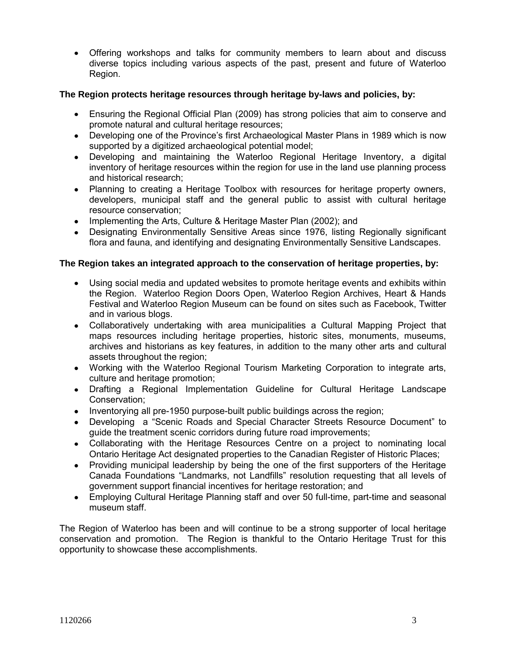Offering workshops and talks for community members to learn about and discuss diverse topics including various aspects of the past, present and future of Waterloo Region.

## **The Region protects heritage resources through heritage by-laws and policies, by:**

- Ensuring the Regional Official Plan (2009) has strong policies that aim to conserve and promote natural and cultural heritage resources;
- Developing one of the Province's first Archaeological Master Plans in 1989 which is now supported by a digitized archaeological potential model;
- Developing and maintaining the Waterloo Regional Heritage Inventory, a digital inventory of heritage resources within the region for use in the land use planning process and historical research;
- Planning to creating a Heritage Toolbox with resources for heritage property owners, developers, municipal staff and the general public to assist with cultural heritage resource conservation;
- Implementing the Arts, Culture & Heritage Master Plan (2002); and
- Designating Environmentally Sensitive Areas since 1976, listing Regionally significant flora and fauna, and identifying and designating Environmentally Sensitive Landscapes.

## **The Region takes an integrated approach to the conservation of heritage properties, by:**

- Using social media and updated websites to promote heritage events and exhibits within the Region. Waterloo Region Doors Open, Waterloo Region Archives, Heart & Hands Festival and Waterloo Region Museum can be found on sites such as Facebook, Twitter and in various blogs.
- Collaboratively undertaking with area municipalities a Cultural Mapping Project that maps resources including heritage properties, historic sites, monuments, museums, archives and historians as key features, in addition to the many other arts and cultural assets throughout the region;
- Working with the Waterloo Regional Tourism Marketing Corporation to integrate arts, culture and heritage promotion;
- Drafting a Regional Implementation Guideline for Cultural Heritage Landscape Conservation;
- Inventorying all pre-1950 purpose-built public buildings across the region;
- Developing a "Scenic Roads and Special Character Streets Resource Document" to guide the treatment scenic corridors during future road improvements;
- Collaborating with the Heritage Resources Centre on a project to nominating local Ontario Heritage Act designated properties to the Canadian Register of Historic Places;
- Providing municipal leadership by being the one of the first supporters of the Heritage Canada Foundations "Landmarks, not Landfills" resolution requesting that all levels of government support financial incentives for heritage restoration; and
- Employing Cultural Heritage Planning staff and over 50 full-time, part-time and seasonal museum staff.

The Region of Waterloo has been and will continue to be a strong supporter of local heritage conservation and promotion. The Region is thankful to the Ontario Heritage Trust for this opportunity to showcase these accomplishments.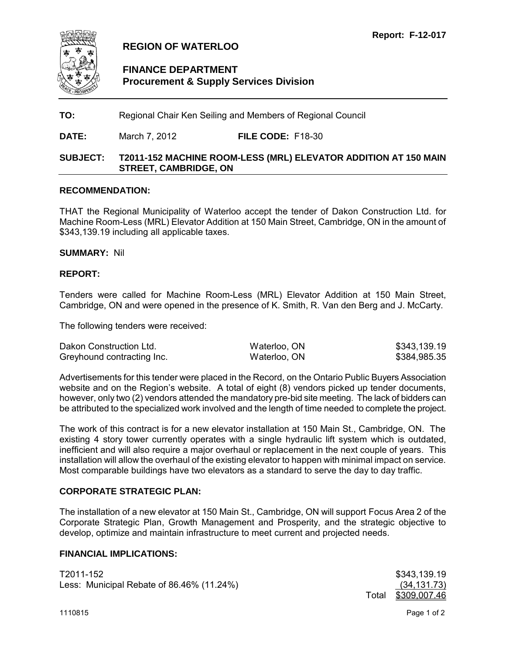<span id="page-7-0"></span>

## **REGION OF WATERLOO**

## **FINANCE DEPARTMENT Procurement & Supply Services Division**

**TO:** Regional Chair Ken Seiling and Members of Regional Council

**DATE:** March 7, 2012 **FILE CODE:** F18-30

### **SUBJECT: T2011-152 MACHINE ROOM-LESS (MRL) ELEVATOR ADDITION AT 150 MAIN STREET, CAMBRIDGE, ON**

#### **RECOMMENDATION:**

THAT the Regional Municipality of Waterloo accept the tender of Dakon Construction Ltd. for Machine Room-Less (MRL) Elevator Addition at 150 Main Street, Cambridge, ON in the amount of \$343,139.19 including all applicable taxes.

#### **SUMMARY:** Nil

#### **REPORT:**

Tenders were called for Machine Room-Less (MRL) Elevator Addition at 150 Main Street, Cambridge, ON and were opened in the presence of K. Smith, R. Van den Berg and J. McCarty.

The following tenders were received:

| Dakon Construction Ltd.    | Waterloo, ON | \$343,139.19 |
|----------------------------|--------------|--------------|
| Greyhound contracting Inc. | Waterloo, ON | \$384,985.35 |

Advertisements for this tender were placed in the Record, on the Ontario Public Buyers Association website and on the Region's website. A total of eight (8) vendors picked up tender documents, however, only two (2) vendors attended the mandatory pre-bid site meeting. The lack of bidders can be attributed to the specialized work involved and the length of time needed to complete the project.

The work of this contract is for a new elevator installation at 150 Main St., Cambridge, ON. The existing 4 story tower currently operates with a single hydraulic lift system which is outdated, inefficient and will also require a major overhaul or replacement in the next couple of years. This installation will allow the overhaul of the existing elevator to happen with minimal impact on service. Most comparable buildings have two elevators as a standard to serve the day to day traffic.

### **CORPORATE STRATEGIC PLAN:**

The installation of a new elevator at 150 Main St., Cambridge, ON will support Focus Area 2 of the Corporate Strategic Plan, Growth Management and Prosperity, and the strategic objective to develop, optimize and maintain infrastructure to meet current and projected needs.

#### **FINANCIAL IMPLICATIONS:**

T2011-152 \$343,139.19 Less: Municipal Rebate of 86.46% (11.24%) (34,131.73)

Total \$309,007.46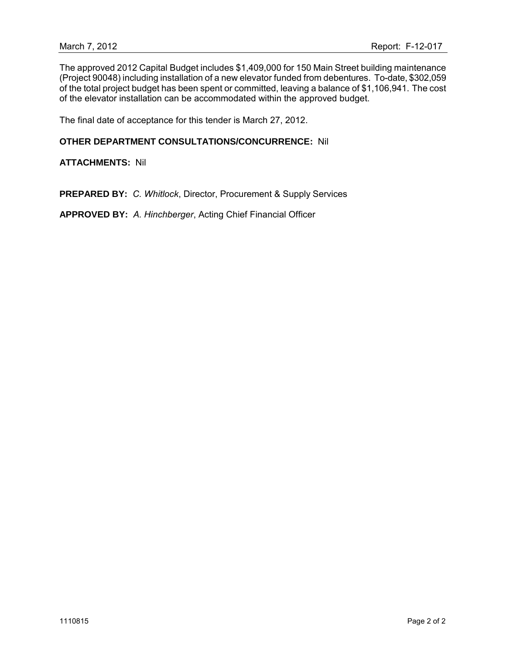The approved 2012 Capital Budget includes \$1,409,000 for 150 Main Street building maintenance (Project 90048) including installation of a new elevator funded from debentures. To-date, \$302,059 of the total project budget has been spent or committed, leaving a balance of \$1,106,941. The cost of the elevator installation can be accommodated within the approved budget.

The final date of acceptance for this tender is March 27, 2012.

#### **OTHER DEPARTMENT CONSULTATIONS/CONCURRENCE:** Nil

**ATTACHMENTS:** Nil

**PREPARED BY:** *C. Whitlock*, Director, Procurement & Supply Services

**APPROVED BY:** *A. Hinchberger*, Acting Chief Financial Officer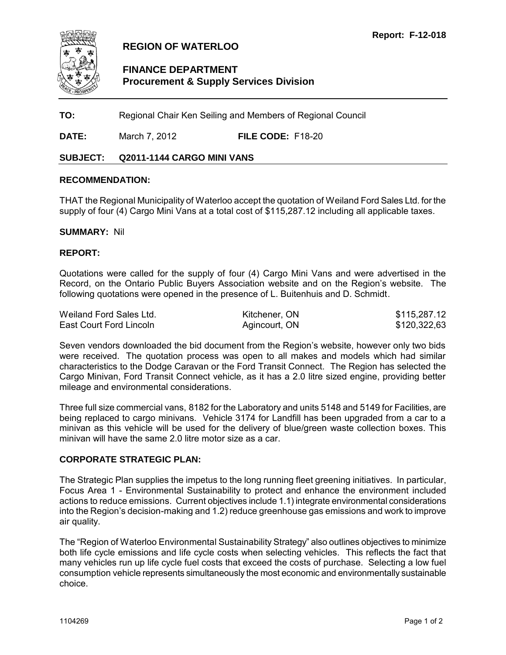<span id="page-9-0"></span>

## **REGION OF WATERLOO**

## **FINANCE DEPARTMENT Procurement & Supply Services Division**

**TO:** Regional Chair Ken Seiling and Members of Regional Council

**DATE:** March 7, 2012 **FILE CODE:** F18-20

## **SUBJECT: Q2011-1144 CARGO MINI VANS**

#### **RECOMMENDATION:**

THAT the Regional Municipality of Waterloo accept the quotation of Weiland Ford Sales Ltd. for the supply of four (4) Cargo Mini Vans at a total cost of \$115,287.12 including all applicable taxes.

#### **SUMMARY:** Nil

#### **REPORT:**

Quotations were called for the supply of four (4) Cargo Mini Vans and were advertised in the Record, on the Ontario Public Buyers Association website and on the Region's website. The following quotations were opened in the presence of L. Buitenhuis and D. Schmidt.

| Weiland Ford Sales Ltd. | Kitchener, ON | \$115,287.12 |
|-------------------------|---------------|--------------|
| East Court Ford Lincoln | Agincourt, ON | \$120,322,63 |

Seven vendors downloaded the bid document from the Region's website, however only two bids were received. The quotation process was open to all makes and models which had similar characteristics to the Dodge Caravan or the Ford Transit Connect. The Region has selected the Cargo Minivan, Ford Transit Connect vehicle, as it has a 2.0 litre sized engine, providing better mileage and environmental considerations.

Three full size commercial vans, 8182 for the Laboratory and units 5148 and 5149 for Facilities, are being replaced to cargo minivans. Vehicle 3174 for Landfill has been upgraded from a car to a minivan as this vehicle will be used for the delivery of blue/green waste collection boxes. This minivan will have the same 2.0 litre motor size as a car.

#### **CORPORATE STRATEGIC PLAN:**

The Strategic Plan supplies the impetus to the long running fleet greening initiatives. In particular, Focus Area 1 - Environmental Sustainability to protect and enhance the environment included actions to reduce emissions. Current objectives include 1.1) integrate environmental considerations into the Region's decision-making and 1.2) reduce greenhouse gas emissions and work to improve air quality.

The "Region of Waterloo Environmental Sustainability Strategy" also outlines objectives to minimize both life cycle emissions and life cycle costs when selecting vehicles. This reflects the fact that many vehicles run up life cycle fuel costs that exceed the costs of purchase. Selecting a low fuel consumption vehicle represents simultaneously the most economic and environmentally sustainable choice.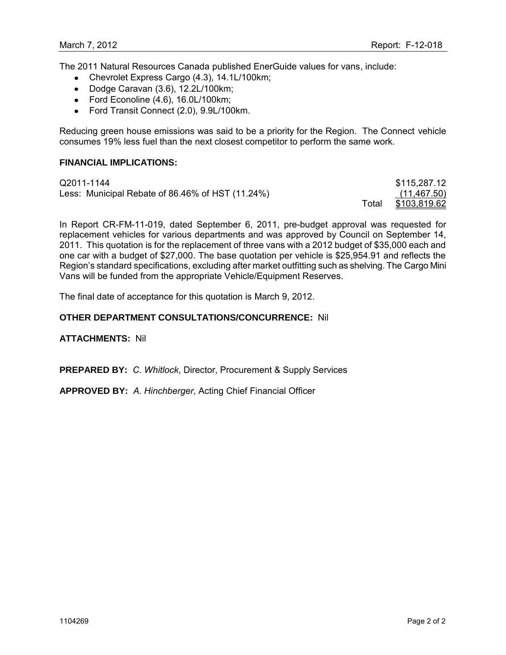The 2011 Natural Resources Canada published EnerGuide values for vans, include:

- Chevrolet Express Cargo (4.3), 14.1L/100km;
- Dodge Caravan (3.6), 12.2L/100km;
- Ford Econoline  $(4.6)$ , 16.0L/100km;
- Ford Transit Connect (2.0), 9.9L/100km.

Reducing green house emissions was said to be a priority for the Region. The Connect vehicle consumes 19% less fuel than the next closest competitor to perform the same work.

#### **FINANCIAL IMPLICATIONS:**

| Q2011-1144                                       |       | \$115,287.12 |
|--------------------------------------------------|-------|--------------|
| Less: Municipal Rebate of 86.46% of HST (11.24%) |       | (11, 467.50) |
|                                                  | Total | \$103,819.62 |

In Report CR-FM-11-019, dated September 6, 2011, pre-budget approval was requested for replacement vehicles for various departments and was approved by Council on September 14, 2011. This quotation is for the replacement of three vans with a 2012 budget of \$35,000 each and one car with a budget of \$27,000. The base quotation per vehicle is \$25,954.91 and reflects the Region's standard specifications, excluding after market outfitting such as shelving. The Cargo Mini Vans will be funded from the appropriate Vehicle/Equipment Reserves.

The final date of acceptance for this quotation is March 9, 2012.

#### **OTHER DEPARTMENT CONSULTATIONS/CONCURRENCE:** Nil

**ATTACHMENTS:** Nil

**PREPARED BY:** *C. Whitlock*, Director, Procurement & Supply Services

**APPROVED BY:** *A. Hinchberger*, Acting Chief Financial Officer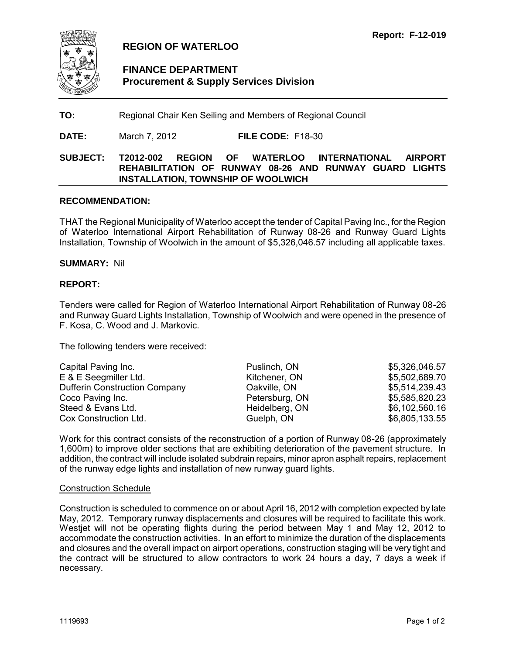<span id="page-11-0"></span>

## **REGION OF WATERLOO**

## **FINANCE DEPARTMENT Procurement & Supply Services Division**

## **TO:** Regional Chair Ken Seiling and Members of Regional Council

**DATE:** March 7, 2012 **FILE CODE:** F18-30

## **SUBJECT: T2012-002 REGION OF WATERLOO INTERNATIONAL AIRPORT REHABILITATION OF RUNWAY 08-26 AND RUNWAY GUARD LIGHTS INSTALLATION, TOWNSHIP OF WOOLWICH**

#### **RECOMMENDATION:**

THAT the Regional Municipality of Waterloo accept the tender of Capital Paving Inc., for the Region of Waterloo International Airport Rehabilitation of Runway 08-26 and Runway Guard Lights Installation, Township of Woolwich in the amount of \$5,326,046.57 including all applicable taxes.

#### **SUMMARY:** Nil

#### **REPORT:**

Tenders were called for Region of Waterloo International Airport Rehabilitation of Runway 08-26 and Runway Guard Lights Installation, Township of Woolwich and were opened in the presence of F. Kosa, C. Wood and J. Markovic.

The following tenders were received:

| Capital Paving Inc.                  | Puslinch, ON   | \$5,326,046.57 |
|--------------------------------------|----------------|----------------|
| E & E Seegmiller Ltd.                | Kitchener, ON  | \$5,502,689.70 |
| <b>Dufferin Construction Company</b> | Oakville, ON   | \$5,514,239.43 |
| Coco Paving Inc.                     | Petersburg, ON | \$5,585,820.23 |
| Steed & Evans Ltd.                   | Heidelberg, ON | \$6,102,560.16 |
| Cox Construction Ltd.                | Guelph, ON     | \$6,805,133.55 |

Work for this contract consists of the reconstruction of a portion of Runway 08-26 (approximately 1,600m) to improve older sections that are exhibiting deterioration of the pavement structure. In addition, the contract will include isolated subdrain repairs, minor apron asphalt repairs, replacement of the runway edge lights and installation of new runway guard lights.

#### Construction Schedule

Construction is scheduled to commence on or about April 16, 2012 with completion expected by late May, 2012. Temporary runway displacements and closures will be required to facilitate this work. Westjet will not be operating flights during the period between May 1 and May 12, 2012 to accommodate the construction activities. In an effort to minimize the duration of the displacements and closures and the overall impact on airport operations, construction staging will be very tight and the contract will be structured to allow contractors to work 24 hours a day, 7 days a week if necessary.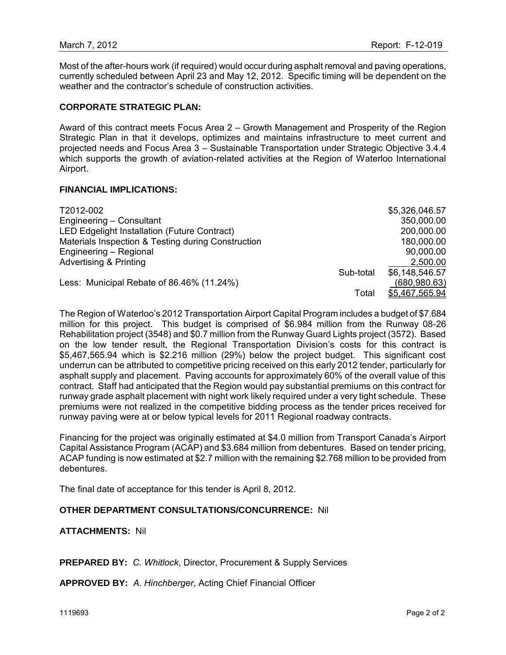Most of the after-hours work (if required) would occur during asphalt removal and paving operations, currently scheduled between April 23 and May 12, 2012. Specific timing will be dependent on the weather and the contractor's schedule of construction activities.

#### **CORPORATE STRATEGIC PLAN:**

Award of this contract meets Focus Area 2 – Growth Management and Prosperity of the Region Strategic Plan in that it develops, optimizes and maintains infrastructure to meet current and projected needs and Focus Area 3 – Sustainable Transportation under Strategic Objective 3.4.4 which supports the growth of aviation-related activities at the Region of Waterloo International Airport.

#### **FINANCIAL IMPLICATIONS:**

| T2012-002                                          |           | \$5,326,046.57 |
|----------------------------------------------------|-----------|----------------|
| Engineering - Consultant                           |           | 350,000.00     |
| LED Edgelight Installation (Future Contract)       |           | 200,000.00     |
| Materials Inspection & Testing during Construction |           | 180,000.00     |
| Engineering - Regional                             |           | 90,000.00      |
| <b>Advertising &amp; Printing</b>                  |           | 2,500.00       |
|                                                    | Sub-total | \$6,148,546.57 |
| Less: Municipal Rebate of 86.46% (11.24%)          |           | (680, 980.63)  |
|                                                    | Total     | \$5,467,565.94 |

The Region of Waterloo's 2012 Transportation Airport Capital Program includes a budget of \$7.684 million for this project. This budget is comprised of \$6.984 million from the Runway 08-26 Rehabilitation project (3548) and \$0.7 million from the Runway Guard Lights project (3572). Based on the low tender result, the Regional Transportation Division's costs for this contract is \$5,467,565.94 which is \$2.216 million (29%) below the project budget. This significant cost underrun can be attributed to competitive pricing received on this early 2012 tender, particularly for asphalt supply and placement. Paving accounts for approximately 60% of the overall value of this contract. Staff had anticipated that the Region would pay substantial premiums on this contract for runway grade asphalt placement with night work likely required under a very tight schedule. These premiums were not realized in the competitive bidding process as the tender prices received for runway paving were at or below typical levels for 2011 Regional roadway contracts.

Financing for the project was originally estimated at \$4.0 million from Transport Canada's Airport Capital Assistance Program (ACAP) and \$3.684 million from debentures. Based on tender pricing, ACAP funding is now estimated at \$2.7 million with the remaining \$2.768 million to be provided from debentures.

The final date of acceptance for this tender is April 8, 2012.

#### **OTHER DEPARTMENT CONSULTATIONS/CONCURRENCE:** Nil

#### **ATTACHMENTS:** Nil

**PREPARED BY:** *C. Whitlock*, Director, Procurement & Supply Services

**APPROVED BY:** *A. Hinchberger*, Acting Chief Financial Officer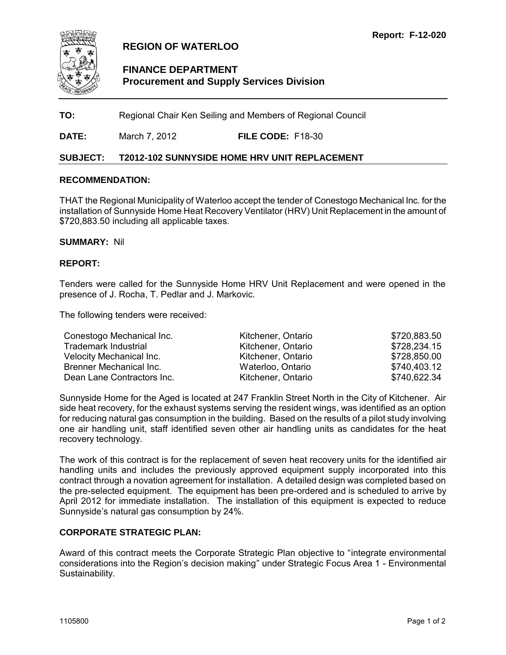<span id="page-13-0"></span>

## **REGION OF WATERLOO**

## **FINANCE DEPARTMENT Procurement and Supply Services Division**

**TO:** Regional Chair Ken Seiling and Members of Regional Council

**DATE:** March 7, 2012 **FILE CODE:** F18-30

### **SUBJECT: T2012-102 SUNNYSIDE HOME HRV UNIT REPLACEMENT**

#### **RECOMMENDATION:**

THAT the Regional Municipality of Waterloo accept the tender of Conestogo Mechanical Inc. for the installation of Sunnyside Home Heat Recovery Ventilator (HRV) Unit Replacement in the amount of \$720,883.50 including all applicable taxes.

#### **SUMMARY:** Nil

#### **REPORT:**

Tenders were called for the Sunnyside Home HRV Unit Replacement and were opened in the presence of J. Rocha, T. Pedlar and J. Markovic.

The following tenders were received:

| Conestogo Mechanical Inc.       | Kitchener, Ontario | \$720,883.50 |
|---------------------------------|--------------------|--------------|
| <b>Trademark Industrial</b>     | Kitchener, Ontario | \$728,234.15 |
| <b>Velocity Mechanical Inc.</b> | Kitchener, Ontario | \$728,850.00 |
| Brenner Mechanical Inc.         | Waterloo, Ontario  | \$740,403.12 |
| Dean Lane Contractors Inc.      | Kitchener, Ontario | \$740,622.34 |

Sunnyside Home for the Aged is located at 247 Franklin Street North in the City of Kitchener. Air side heat recovery, for the exhaust systems serving the resident wings, was identified as an option for reducing natural gas consumption in the building. Based on the results of a pilot study involving one air handling unit, staff identified seven other air handling units as candidates for the heat recovery technology.

The work of this contract is for the replacement of seven heat recovery units for the identified air handling units and includes the previously approved equipment supply incorporated into this contract through a novation agreement for installation. A detailed design was completed based on the pre-selected equipment. The equipment has been pre-ordered and is scheduled to arrive by April 2012 for immediate installation. The installation of this equipment is expected to reduce Sunnyside's natural gas consumption by 24%.

### **CORPORATE STRATEGIC PLAN:**

Award of this contract meets the Corporate Strategic Plan objective to "integrate environmental considerations into the Region's decision making" under Strategic Focus Area 1 - Environmental Sustainability.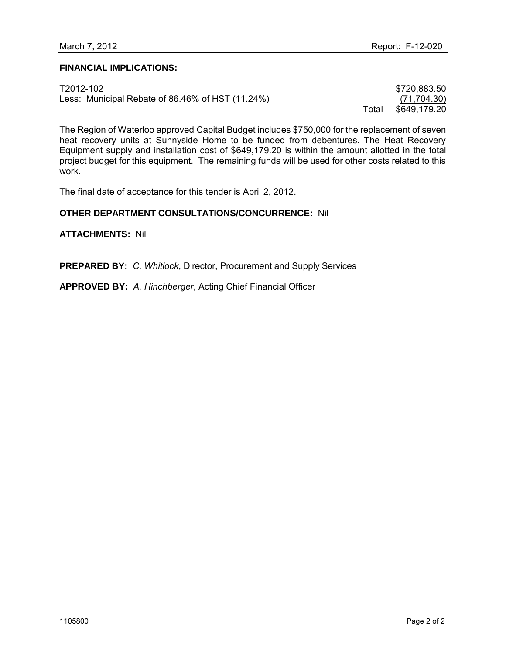#### **FINANCIAL IMPLICATIONS:**

| T2012-102                                        |       | \$720,883.50 |
|--------------------------------------------------|-------|--------------|
| Less: Municipal Rebate of 86.46% of HST (11.24%) |       | (71, 704.30) |
|                                                  | ™ota⊧ | \$649,179.20 |

The Region of Waterloo approved Capital Budget includes \$750,000 for the replacement of seven heat recovery units at Sunnyside Home to be funded from debentures. The Heat Recovery Equipment supply and installation cost of \$649,179.20 is within the amount allotted in the total project budget for this equipment. The remaining funds will be used for other costs related to this work.

The final date of acceptance for this tender is April 2, 2012.

#### **OTHER DEPARTMENT CONSULTATIONS/CONCURRENCE:** Nil

**ATTACHMENTS:** Nil

**PREPARED BY:** *C. Whitlock*, Director, Procurement and Supply Services

**APPROVED BY:** *A. Hinchberger*, Acting Chief Financial Officer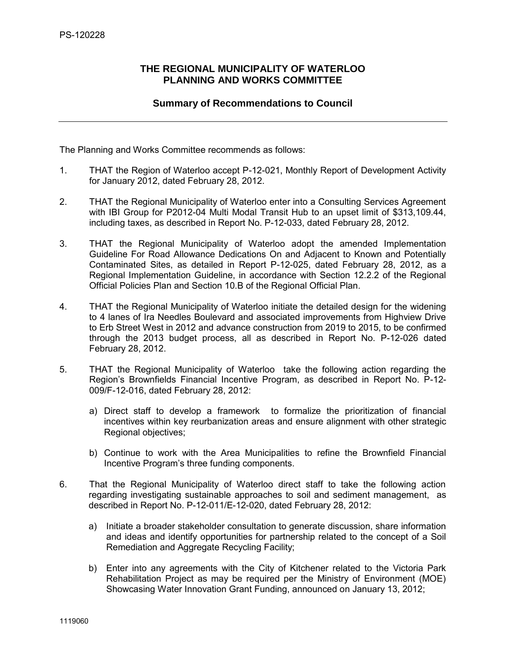## <span id="page-15-0"></span>**THE REGIONAL MUNICIPALITY OF WATERLOO PLANNING AND WORKS COMMITTEE**

## **Summary of Recommendations to Council**

The Planning and Works Committee recommends as follows:

- 1. THAT the Region of Waterloo accept P-12-021, Monthly Report of Development Activity for January 2012, dated February 28, 2012.
- 2. THAT the Regional Municipality of Waterloo enter into a Consulting Services Agreement with IBI Group for P2012-04 Multi Modal Transit Hub to an upset limit of \$313,109.44, including taxes, as described in Report No. P-12-033, dated February 28, 2012.
- 3. THAT the Regional Municipality of Waterloo adopt the amended Implementation Guideline For Road Allowance Dedications On and Adjacent to Known and Potentially Contaminated Sites, as detailed in Report P-12-025, dated February 28, 2012, as a Regional Implementation Guideline, in accordance with Section 12.2.2 of the Regional Official Policies Plan and Section 10.B of the Regional Official Plan.
- 4. THAT the Regional Municipality of Waterloo initiate the detailed design for the widening to 4 lanes of Ira Needles Boulevard and associated improvements from Highview Drive to Erb Street West in 2012 and advance construction from 2019 to 2015, to be confirmed through the 2013 budget process, all as described in Report No. P-12-026 dated February 28, 2012.
- 5. THAT the Regional Municipality of Waterloo take the following action regarding the Region's Brownfields Financial Incentive Program, as described in Report No. P-12- 009/F-12-016, dated February 28, 2012:
	- a) Direct staff to develop a framework to formalize the prioritization of financial incentives within key reurbanization areas and ensure alignment with other strategic Regional objectives;
	- b) Continue to work with the Area Municipalities to refine the Brownfield Financial Incentive Program's three funding components.
- 6. That the Regional Municipality of Waterloo direct staff to take the following action regarding investigating sustainable approaches to soil and sediment management, as described in Report No. P-12-011/E-12-020, dated February 28, 2012:
	- a) Initiate a broader stakeholder consultation to generate discussion, share information and ideas and identify opportunities for partnership related to the concept of a Soil Remediation and Aggregate Recycling Facility;
	- b) Enter into any agreements with the City of Kitchener related to the Victoria Park Rehabilitation Project as may be required per the Ministry of Environment (MOE) Showcasing Water Innovation Grant Funding, announced on January 13, 2012;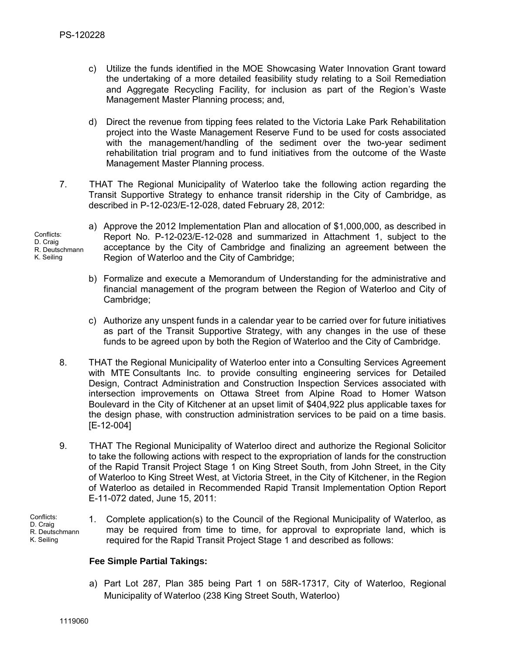- c) Utilize the funds identified in the MOE Showcasing Water Innovation Grant toward the undertaking of a more detailed feasibility study relating to a Soil Remediation and Aggregate Recycling Facility, for inclusion as part of the Region's Waste Management Master Planning process; and,
- d) Direct the revenue from tipping fees related to the Victoria Lake Park Rehabilitation project into the Waste Management Reserve Fund to be used for costs associated with the management/handling of the sediment over the two-year sediment rehabilitation trial program and to fund initiatives from the outcome of the Waste Management Master Planning process.
- 7. THAT The Regional Municipality of Waterloo take the following action regarding the Transit Supportive Strategy to enhance transit ridership in the City of Cambridge, as described in P-12-023/E-12-028, dated February 28, 2012:

Conflicts: D. Craig R. Deutschmann K. Seiling

- a) Approve the 2012 Implementation Plan and allocation of \$1,000,000, as described in Report No. P-12-023/E-12-028 and summarized in Attachment 1, subject to the acceptance by the City of Cambridge and finalizing an agreement between the Region of Waterloo and the City of Cambridge;
- b) Formalize and execute a Memorandum of Understanding for the administrative and financial management of the program between the Region of Waterloo and City of Cambridge;
- c) Authorize any unspent funds in a calendar year to be carried over for future initiatives as part of the Transit Supportive Strategy, with any changes in the use of these funds to be agreed upon by both the Region of Waterloo and the City of Cambridge.
- 8. THAT the Regional Municipality of Waterloo enter into a Consulting Services Agreement with MTE Consultants Inc. to provide consulting engineering services for Detailed Design, Contract Administration and Construction Inspection Services associated with intersection improvements on Ottawa Street from Alpine Road to Homer Watson Boulevard in the City of Kitchener at an upset limit of \$404,922 plus applicable taxes for the design phase, with construction administration services to be paid on a time basis. [E-12-004]
- 9. THAT The Regional Municipality of Waterloo direct and authorize the Regional Solicitor to take the following actions with respect to the expropriation of lands for the construction of the Rapid Transit Project Stage 1 on King Street South, from John Street, in the City of Waterloo to King Street West, at Victoria Street, in the City of Kitchener, in the Region of Waterloo as detailed in Recommended Rapid Transit Implementation Option Report E-11-072 dated, June 15, 2011:

Conflicts: D. Craig R. Deutschmann K. Seiling

1. Complete application(s) to the Council of the Regional Municipality of Waterloo, as may be required from time to time, for approval to expropriate land, which is required for the Rapid Transit Project Stage 1 and described as follows:

## **Fee Simple Partial Takings:**

a) Part Lot 287, Plan 385 being Part 1 on 58R-17317, City of Waterloo, Regional Municipality of Waterloo (238 King Street South, Waterloo)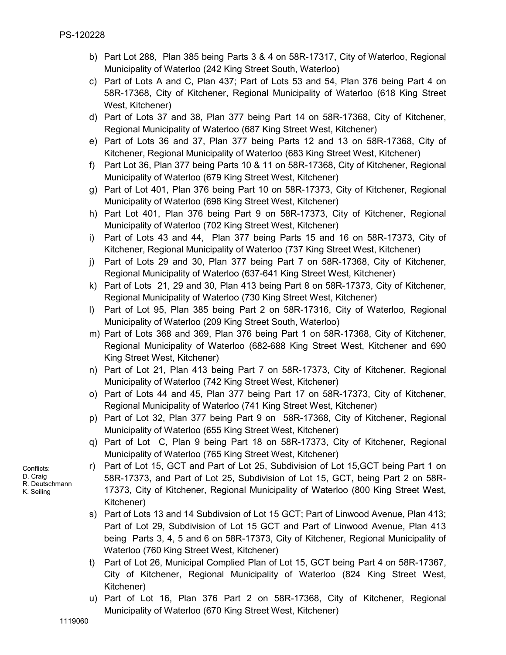- b) Part Lot 288, Plan 385 being Parts 3 & 4 on 58R-17317, City of Waterloo, Regional Municipality of Waterloo (242 King Street South, Waterloo)
- c) Part of Lots A and C, Plan 437; Part of Lots 53 and 54, Plan 376 being Part 4 on 58R-17368, City of Kitchener, Regional Municipality of Waterloo (618 King Street West, Kitchener)
- d) Part of Lots 37 and 38, Plan 377 being Part 14 on 58R-17368, City of Kitchener, Regional Municipality of Waterloo (687 King Street West, Kitchener)
- e) Part of Lots 36 and 37, Plan 377 being Parts 12 and 13 on 58R-17368, City of Kitchener, Regional Municipality of Waterloo (683 King Street West, Kitchener)
- f) Part Lot 36, Plan 377 being Parts 10 & 11 on 58R-17368, City of Kitchener, Regional Municipality of Waterloo (679 King Street West, Kitchener)
- g) Part of Lot 401, Plan 376 being Part 10 on 58R-17373, City of Kitchener, Regional Municipality of Waterloo (698 King Street West, Kitchener)
- h) Part Lot 401, Plan 376 being Part 9 on 58R-17373, City of Kitchener, Regional Municipality of Waterloo (702 King Street West, Kitchener)
- i) Part of Lots 43 and 44, Plan 377 being Parts 15 and 16 on 58R-17373, City of Kitchener, Regional Municipality of Waterloo (737 King Street West, Kitchener)
- j) Part of Lots 29 and 30, Plan 377 being Part 7 on 58R-17368, City of Kitchener, Regional Municipality of Waterloo (637-641 King Street West, Kitchener)
- k) Part of Lots 21, 29 and 30, Plan 413 being Part 8 on 58R-17373, City of Kitchener, Regional Municipality of Waterloo (730 King Street West, Kitchener)
- l) Part of Lot 95, Plan 385 being Part 2 on 58R-17316, City of Waterloo, Regional Municipality of Waterloo (209 King Street South, Waterloo)
- m) Part of Lots 368 and 369, Plan 376 being Part 1 on 58R-17368, City of Kitchener, Regional Municipality of Waterloo (682-688 King Street West, Kitchener and 690 King Street West, Kitchener)
- n) Part of Lot 21, Plan 413 being Part 7 on 58R-17373, City of Kitchener, Regional Municipality of Waterloo (742 King Street West, Kitchener)
- o) Part of Lots 44 and 45, Plan 377 being Part 17 on 58R-17373, City of Kitchener, Regional Municipality of Waterloo (741 King Street West, Kitchener)
- p) Part of Lot 32, Plan 377 being Part 9 on 58R-17368, City of Kitchener, Regional Municipality of Waterloo (655 King Street West, Kitchener)
- q) Part of Lot C, Plan 9 being Part 18 on 58R-17373, City of Kitchener, Regional Municipality of Waterloo (765 King Street West, Kitchener)
- r) Part of Lot 15, GCT and Part of Lot 25, Subdivision of Lot 15,GCT being Part 1 on 58R-17373, and Part of Lot 25, Subdivision of Lot 15, GCT, being Part 2 on 58R-17373, City of Kitchener, Regional Municipality of Waterloo (800 King Street West, Kitchener)
- s) Part of Lots 13 and 14 Subdivsion of Lot 15 GCT; Part of Linwood Avenue, Plan 413; Part of Lot 29, Subdivision of Lot 15 GCT and Part of Linwood Avenue, Plan 413 being Parts 3, 4, 5 and 6 on 58R-17373, City of Kitchener, Regional Municipality of Waterloo (760 King Street West, Kitchener)
- t) Part of Lot 26, Municipal Complied Plan of Lot 15, GCT being Part 4 on 58R-17367, City of Kitchener, Regional Municipality of Waterloo (824 King Street West, Kitchener)
- u) Part of Lot 16, Plan 376 Part 2 on 58R-17368, City of Kitchener, Regional Municipality of Waterloo (670 King Street West, Kitchener)

Conflicts: D. Craig R. Deutschmann K. Seiling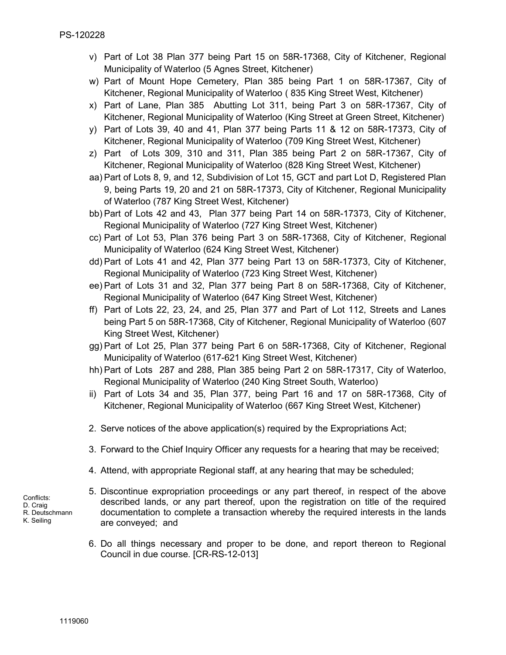- v) Part of Lot 38 Plan 377 being Part 15 on 58R-17368, City of Kitchener, Regional Municipality of Waterloo (5 Agnes Street, Kitchener)
- w) Part of Mount Hope Cemetery, Plan 385 being Part 1 on 58R-17367, City of Kitchener, Regional Municipality of Waterloo ( 835 King Street West, Kitchener)
- x) Part of Lane, Plan 385 Abutting Lot 311, being Part 3 on 58R-17367, City of Kitchener, Regional Municipality of Waterloo (King Street at Green Street, Kitchener)
- y) Part of Lots 39, 40 and 41, Plan 377 being Parts 11 & 12 on 58R-17373, City of Kitchener, Regional Municipality of Waterloo (709 King Street West, Kitchener)
- z) Part of Lots 309, 310 and 311, Plan 385 being Part 2 on 58R-17367, City of Kitchener, Regional Municipality of Waterloo (828 King Street West, Kitchener)
- aa) Part of Lots 8, 9, and 12, Subdivision of Lot 15, GCT and part Lot D, Registered Plan 9, being Parts 19, 20 and 21 on 58R-17373, City of Kitchener, Regional Municipality of Waterloo (787 King Street West, Kitchener)
- bb) Part of Lots 42 and 43, Plan 377 being Part 14 on 58R-17373, City of Kitchener, Regional Municipality of Waterloo (727 King Street West, Kitchener)
- cc) Part of Lot 53, Plan 376 being Part 3 on 58R-17368, City of Kitchener, Regional Municipality of Waterloo (624 King Street West, Kitchener)
- dd) Part of Lots 41 and 42, Plan 377 being Part 13 on 58R-17373, City of Kitchener, Regional Municipality of Waterloo (723 King Street West, Kitchener)
- ee) Part of Lots 31 and 32, Plan 377 being Part 8 on 58R-17368, City of Kitchener, Regional Municipality of Waterloo (647 King Street West, Kitchener)
- ff) Part of Lots 22, 23, 24, and 25, Plan 377 and Part of Lot 112, Streets and Lanes being Part 5 on 58R-17368, City of Kitchener, Regional Municipality of Waterloo (607 King Street West, Kitchener)
- gg) Part of Lot 25, Plan 377 being Part 6 on 58R-17368, City of Kitchener, Regional Municipality of Waterloo (617-621 King Street West, Kitchener)
- hh) Part of Lots 287 and 288, Plan 385 being Part 2 on 58R-17317, City of Waterloo, Regional Municipality of Waterloo (240 King Street South, Waterloo)
- ii) Part of Lots 34 and 35, Plan 377, being Part 16 and 17 on 58R-17368, City of Kitchener, Regional Municipality of Waterloo (667 King Street West, Kitchener)
- 2. Serve notices of the above application(s) required by the Expropriations Act;
- 3. Forward to the Chief Inquiry Officer any requests for a hearing that may be received;
- 4. Attend, with appropriate Regional staff, at any hearing that may be scheduled;
- 5. Discontinue expropriation proceedings or any part thereof, in respect of the above described lands, or any part thereof, upon the registration on title of the required documentation to complete a transaction whereby the required interests in the lands are conveyed; and
	- 6. Do all things necessary and proper to be done, and report thereon to Regional Council in due course. [CR-RS-12-013]
- Conflicts: D. Craig R. Deutschmann K. Seiling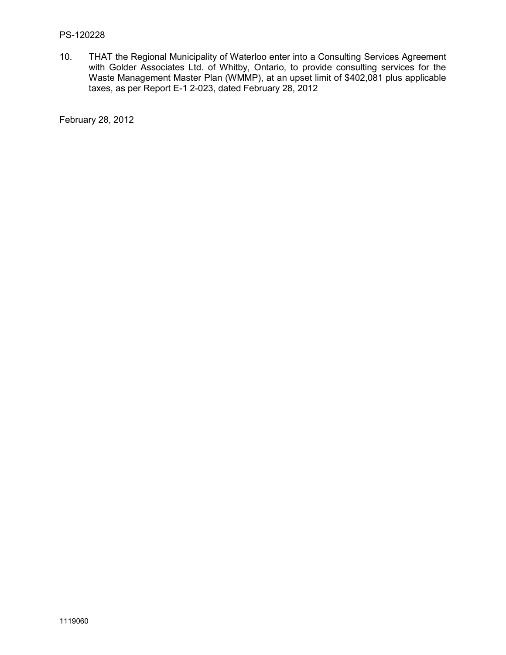#### PS-120228

10. THAT the Regional Municipality of Waterloo enter into a Consulting Services Agreement with Golder Associates Ltd. of Whitby, Ontario, to provide consulting services for the Waste Management Master Plan (WMMP), at an upset limit of \$402,081 plus applicable taxes, as per Report E-1 2-023, dated February 28, 2012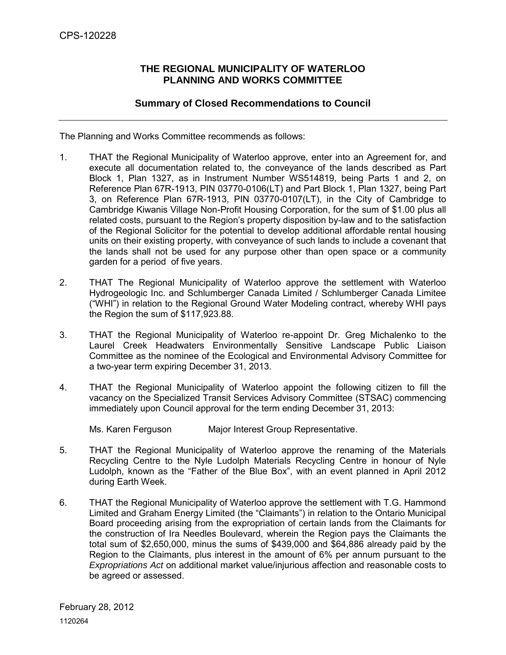## **THE REGIONAL MUNICIPALITY OF WATERLOO PLANNING AND WORKS COMMITTEE**

## **Summary of Closed Recommendations to Council**

<span id="page-20-0"></span>The Planning and Works Committee recommends as follows:

- 1. THAT the Regional Municipality of Waterloo approve, enter into an Agreement for, and execute all documentation related to, the conveyance of the lands described as Part Block 1, Plan 1327, as in Instrument Number WS514819, being Parts 1 and 2, on Reference Plan 67R-1913, PIN 03770-0106(LT) and Part Block 1, Plan 1327, being Part 3, on Reference Plan 67R-1913, PIN 03770-0107(LT), in the City of Cambridge to Cambridge Kiwanis Village Non-Profit Housing Corporation, for the sum of \$1.00 plus all related costs, pursuant to the Region's property disposition by-law and to the satisfaction of the Regional Solicitor for the potential to develop additional affordable rental housing units on their existing property, with conveyance of such lands to include a covenant that the lands shall not be used for any purpose other than open space or a community garden for a period of five years.
- 2. THAT The Regional Municipality of Waterloo approve the settlement with Waterloo Hydrogeologic Inc. and Schlumberger Canada Limited / Schlumberger Canada Limitee ("WHI") in relation to the Regional Ground Water Modeling contract, whereby WHI pays the Region the sum of \$117,923.88.
- 3. THAT the Regional Municipality of Waterloo re-appoint Dr. Greg Michalenko to the Laurel Creek Headwaters Environmentally Sensitive Landscape Public Liaison Committee as the nominee of the Ecological and Environmental Advisory Committee for a two-year term expiring December 31, 2013.
- 4. THAT the Regional Municipality of Waterloo appoint the following citizen to fill the vacancy on the Specialized Transit Services Advisory Committee (STSAC) commencing immediately upon Council approval for the term ending December 31, 2013:

Ms. Karen Ferguson Major Interest Group Representative.

- 5. THAT the Regional Municipality of Waterloo approve the renaming of the Materials Recycling Centre to the Nyle Ludolph Materials Recycling Centre in honour of Nyle Ludolph, known as the "Father of the Blue Box", with an event planned in April 2012 during Earth Week.
- 6. THAT the Regional Municipality of Waterloo approve the settlement with T.G. Hammond Limited and Graham Energy Limited (the "Claimants") in relation to the Ontario Municipal Board proceeding arising from the expropriation of certain lands from the Claimants for the construction of Ira Needles Boulevard, wherein the Region pays the Claimants the total sum of \$2,650,000, minus the sums of \$439,000 and \$64,886 already paid by the Region to the Claimants, plus interest in the amount of 6% per annum pursuant to the *Expropriations Act* on additional market value/injurious affection and reasonable costs to be agreed or assessed.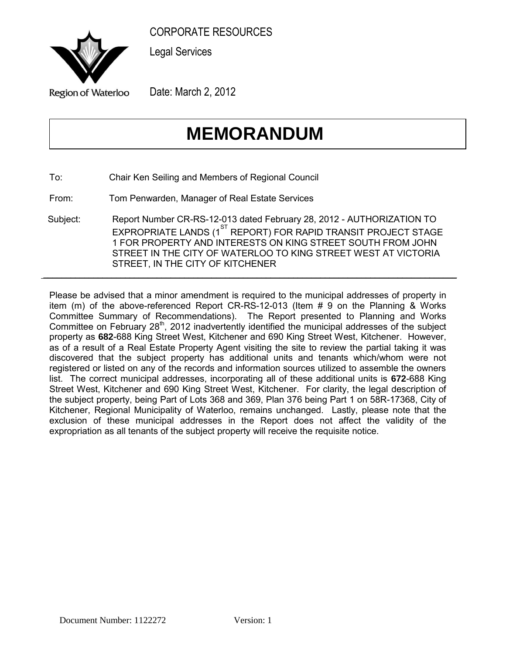<span id="page-21-0"></span>

Legal Services

Date: March 2, 2012

## **MEMORANDUM**

To: Chair Ken Seiling and Members of Regional Council

From: Tom Penwarden, Manager of Real Estate Services

Subject: Report Number CR-RS-12-013 dated February 28, 2012 - AUTHORIZATION TO EXPROPRIATE LANDS (1<sup>ST</sup> REPORT) FOR RAPID TRANSIT PROJECT STAGE 1 FOR PROPERTY AND INTERESTS ON KING STREET SOUTH FROM JOHN STREET IN THE CITY OF WATERLOO TO KING STREET WEST AT VICTORIA STREET, IN THE CITY OF KITCHENER  $\frac{1}{2}$  ,  $\frac{1}{2}$  ,  $\frac{1}{2}$  ,  $\frac{1}{2}$  ,  $\frac{1}{2}$  ,  $\frac{1}{2}$  ,  $\frac{1}{2}$  ,  $\frac{1}{2}$  ,  $\frac{1}{2}$  ,  $\frac{1}{2}$  ,  $\frac{1}{2}$  ,  $\frac{1}{2}$  ,  $\frac{1}{2}$  ,  $\frac{1}{2}$  ,  $\frac{1}{2}$  ,  $\frac{1}{2}$  ,  $\frac{1}{2}$  ,  $\frac{1}{2}$  ,  $\frac{1$ 

Please be advised that a minor amendment is required to the municipal addresses of property in item (m) of the above-referenced Report CR-RS-12-013 (Item # 9 on the Planning & Works Committee Summary of Recommendations). The Report presented to Planning and Works Committee on February 28<sup>th</sup>, 2012 inadvertently identified the municipal addresses of the subject property as **682**-688 King Street West, Kitchener and 690 King Street West, Kitchener. However, as of a result of a Real Estate Property Agent visiting the site to review the partial taking it was discovered that the subject property has additional units and tenants which/whom were not registered or listed on any of the records and information sources utilized to assemble the owners list. The correct municipal addresses, incorporating all of these additional units is **672**-688 King Street West, Kitchener and 690 King Street West, Kitchener. For clarity, the legal description of the subject property, being Part of Lots 368 and 369, Plan 376 being Part 1 on 58R-17368, City of Kitchener, Regional Municipality of Waterloo, remains unchanged. Lastly, please note that the exclusion of these municipal addresses in the Report does not affect the validity of the expropriation as all tenants of the subject property will receive the requisite notice.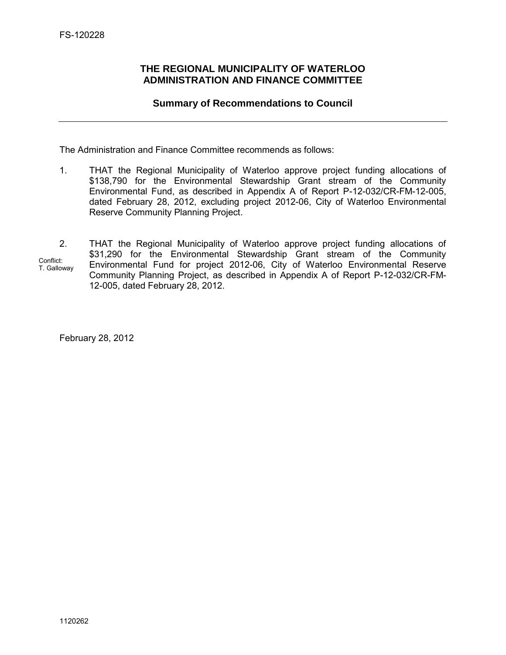## <span id="page-22-0"></span>**THE REGIONAL MUNICIPALITY OF WATERLOO ADMINISTRATION AND FINANCE COMMITTEE**

## **Summary of Recommendations to Council**

The Administration and Finance Committee recommends as follows:

- 1. THAT the Regional Municipality of Waterloo approve project funding allocations of \$138,790 for the Environmental Stewardship Grant stream of the Community Environmental Fund, as described in Appendix A of Report P-12-032/CR-FM-12-005, dated February 28, 2012, excluding project 2012-06, City of Waterloo Environmental Reserve Community Planning Project.
- 2. THAT the Regional Municipality of Waterloo approve project funding allocations of \$31,290 for the Environmental Stewardship Grant stream of the Community Environmental Fund for project 2012-06, City of Waterloo Environmental Reserve Community Planning Project, as described in Appendix A of Report P-12-032/CR-FM-12-005, dated February 28, 2012. Conflict: T. Galloway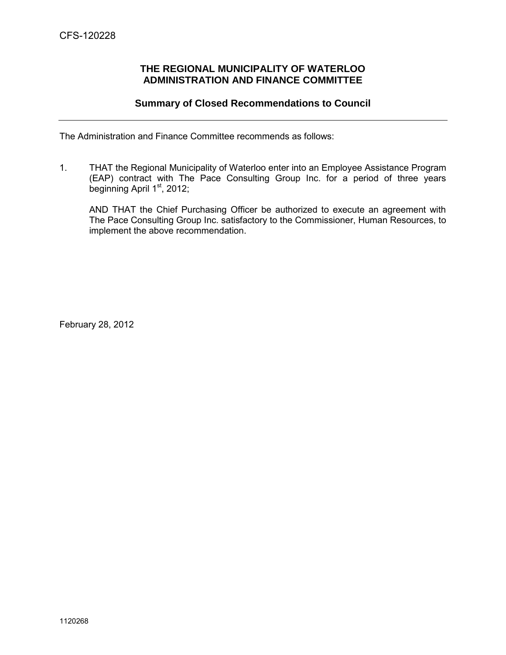## **THE REGIONAL MUNICIPALITY OF WATERLOO ADMINISTRATION AND FINANCE COMMITTEE**

## **Summary of Closed Recommendations to Council**

<span id="page-23-0"></span>The Administration and Finance Committee recommends as follows:

1. THAT the Regional Municipality of Waterloo enter into an Employee Assistance Program (EAP) contract with The Pace Consulting Group Inc. for a period of three years beginning April  $1<sup>st</sup>$ , 2012;

AND THAT the Chief Purchasing Officer be authorized to execute an agreement with The Pace Consulting Group Inc. satisfactory to the Commissioner, Human Resources, to implement the above recommendation.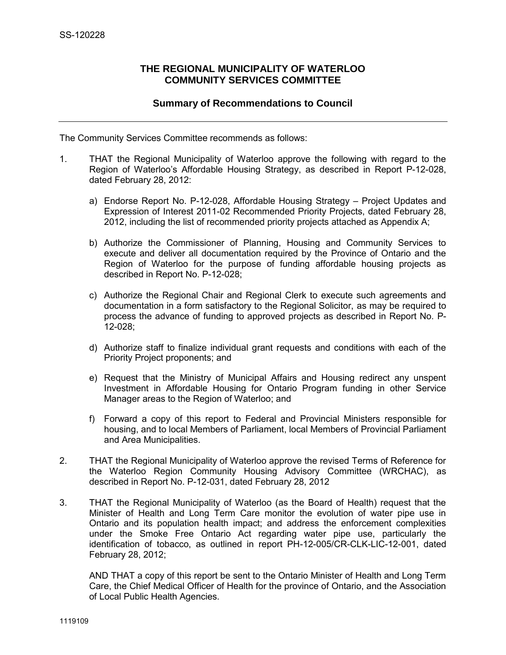## **THE REGIONAL MUNICIPALITY OF WATERLOO COMMUNITY SERVICES COMMITTEE**

## **Summary of Recommendations to Council**

<span id="page-24-0"></span>The Community Services Committee recommends as follows:

- 1. THAT the Regional Municipality of Waterloo approve the following with regard to the Region of Waterloo's Affordable Housing Strategy, as described in Report P-12-028, dated February 28, 2012:
	- a) Endorse Report No. P-12-028, Affordable Housing Strategy Project Updates and Expression of Interest 2011-02 Recommended Priority Projects, dated February 28, 2012, including the list of recommended priority projects attached as Appendix A;
	- b) Authorize the Commissioner of Planning, Housing and Community Services to execute and deliver all documentation required by the Province of Ontario and the Region of Waterloo for the purpose of funding affordable housing projects as described in Report No. P-12-028;
	- c) Authorize the Regional Chair and Regional Clerk to execute such agreements and documentation in a form satisfactory to the Regional Solicitor, as may be required to process the advance of funding to approved projects as described in Report No. P-12-028;
	- d) Authorize staff to finalize individual grant requests and conditions with each of the Priority Project proponents; and
	- e) Request that the Ministry of Municipal Affairs and Housing redirect any unspent Investment in Affordable Housing for Ontario Program funding in other Service Manager areas to the Region of Waterloo; and
	- f) Forward a copy of this report to Federal and Provincial Ministers responsible for housing, and to local Members of Parliament, local Members of Provincial Parliament and Area Municipalities.
- 2. THAT the Regional Municipality of Waterloo approve the revised Terms of Reference for the Waterloo Region Community Housing Advisory Committee (WRCHAC), as described in Report No. P-12-031, dated February 28, 2012
- 3. THAT the Regional Municipality of Waterloo (as the Board of Health) request that the Minister of Health and Long Term Care monitor the evolution of water pipe use in Ontario and its population health impact; and address the enforcement complexities under the Smoke Free Ontario Act regarding water pipe use, particularly the identification of tobacco, as outlined in report PH-12-005/CR-CLK-LIC-12-001, dated February 28, 2012;

AND THAT a copy of this report be sent to the Ontario Minister of Health and Long Term Care, the Chief Medical Officer of Health for the province of Ontario, and the Association of Local Public Health Agencies.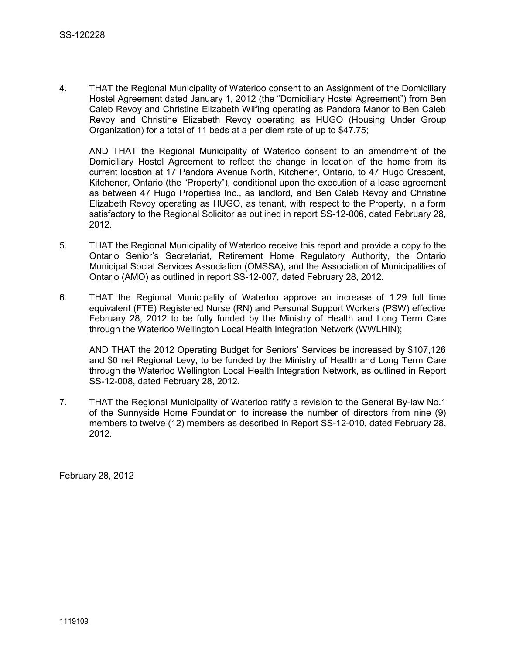4. THAT the Regional Municipality of Waterloo consent to an Assignment of the Domiciliary Hostel Agreement dated January 1, 2012 (the "Domiciliary Hostel Agreement") from Ben Caleb Revoy and Christine Elizabeth Wilfing operating as Pandora Manor to Ben Caleb Revoy and Christine Elizabeth Revoy operating as HUGO (Housing Under Group Organization) for a total of 11 beds at a per diem rate of up to \$47.75;

AND THAT the Regional Municipality of Waterloo consent to an amendment of the Domiciliary Hostel Agreement to reflect the change in location of the home from its current location at 17 Pandora Avenue North, Kitchener, Ontario, to 47 Hugo Crescent, Kitchener, Ontario (the "Property"), conditional upon the execution of a lease agreement as between 47 Hugo Properties Inc., as landlord, and Ben Caleb Revoy and Christine Elizabeth Revoy operating as HUGO, as tenant, with respect to the Property, in a form satisfactory to the Regional Solicitor as outlined in report SS-12-006, dated February 28, 2012.

- 5. THAT the Regional Municipality of Waterloo receive this report and provide a copy to the Ontario Senior's Secretariat, Retirement Home Regulatory Authority, the Ontario Municipal Social Services Association (OMSSA), and the Association of Municipalities of Ontario (AMO) as outlined in report SS-12-007, dated February 28, 2012.
- 6. THAT the Regional Municipality of Waterloo approve an increase of 1.29 full time equivalent (FTE) Registered Nurse (RN) and Personal Support Workers (PSW) effective February 28, 2012 to be fully funded by the Ministry of Health and Long Term Care through the Waterloo Wellington Local Health Integration Network (WWLHIN);

AND THAT the 2012 Operating Budget for Seniors' Services be increased by \$107,126 and \$0 net Regional Levy, to be funded by the Ministry of Health and Long Term Care through the Waterloo Wellington Local Health Integration Network, as outlined in Report SS-12-008, dated February 28, 2012.

7. THAT the Regional Municipality of Waterloo ratify a revision to the General By-law No.1 of the Sunnyside Home Foundation to increase the number of directors from nine (9) members to twelve (12) members as described in Report SS-12-010, dated February 28, 2012.